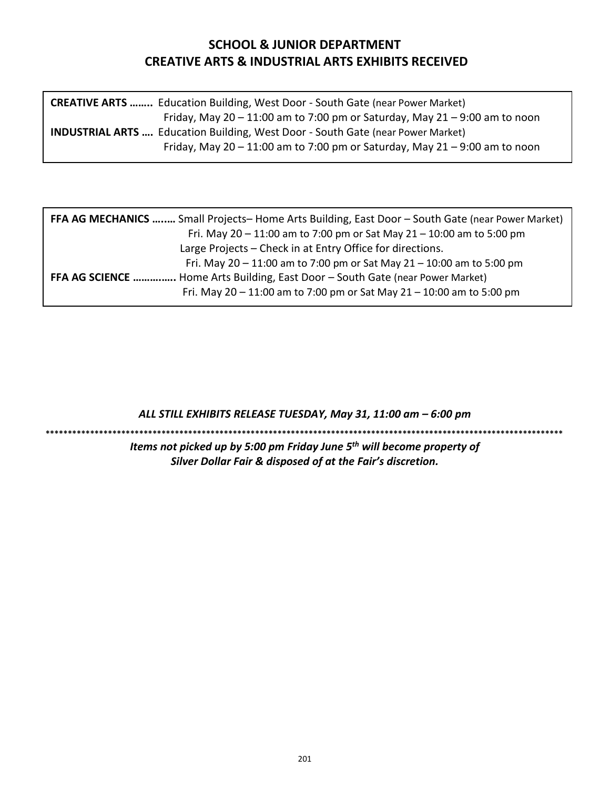# **SCHOOL & JUNIOR DEPARTMENT CREATIVE ARTS & INDUSTRIAL ARTS EXHIBITS RECEIVED**

| <b>CREATIVE ARTS </b> Education Building, West Door - South Gate (near Power Market)   |  |
|----------------------------------------------------------------------------------------|--|
| Friday, May $20 - 11:00$ am to 7:00 pm or Saturday, May $21 - 9:00$ am to noon         |  |
| <b>INDUSTRIAL ARTS </b> Education Building, West Door - South Gate (near Power Market) |  |
| Friday, May $20 - 11:00$ am to 7:00 pm or Saturday, May $21 - 9:00$ am to noon         |  |

| <b>FFA AG MECHANICS </b> Small Projects-Home Arts Building, East Door - South Gate (near Power Market) |  |  |  |
|--------------------------------------------------------------------------------------------------------|--|--|--|
| Fri. May $20 - 11:00$ am to 7:00 pm or Sat May $21 - 10:00$ am to 5:00 pm                              |  |  |  |
| Large Projects – Check in at Entry Office for directions.                                              |  |  |  |
| Fri. May $20 - 11:00$ am to 7:00 pm or Sat May $21 - 10:00$ am to 5:00 pm                              |  |  |  |
| FFA AG SCIENCE  Home Arts Building, East Door - South Gate (near Power Market)                         |  |  |  |
| Fri. May $20 - 11:00$ am to 7:00 pm or Sat May $21 - 10:00$ am to 5:00 pm                              |  |  |  |
|                                                                                                        |  |  |  |

*ALL STILL EXHIBITS RELEASE TUESDAY, May 31, 11:00 am – 6:00 pm*

**\*\*\*\*\*\*\*\*\*\*\*\*\*\*\*\*\*\*\*\*\*\*\*\*\*\*\*\*\*\*\*\*\*\*\*\*\*\*\*\*\*\*\*\*\*\*\*\*\*\*\*\*\*\*\*\*\*\*\*\*\*\*\*\*\*\*\*\*\*\*\*\*\*\*\*\*\*\*\*\*\*\*\*\*\*\*\*\*\*\*\*\*\*\*\*\*\*\*\*\*\*\*\*\*\*\*\*\*\*\*\*\*\*\*\*\***

*Items not picked up by 5:00 pm Friday June 5th will become property of Silver Dollar Fair & disposed of at the Fair's discretion.*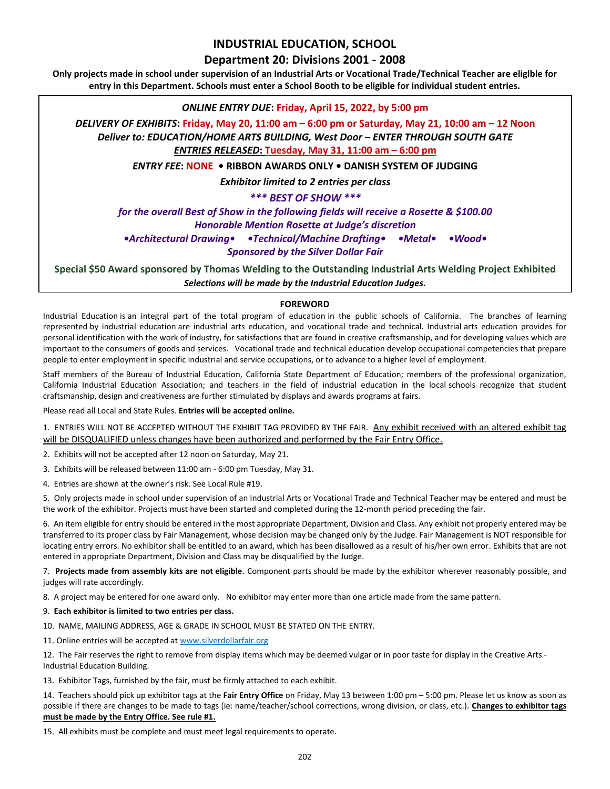# **INDUSTRIAL EDUCATION, SCHOOL**

# **Department 20: Divisions 2001 - 2008**

**Only projects made in school under supervision of an Industrial Arts or Vocational Trade/Technical Teacher are eliglble for entry in this Department. Schools must enter a School Booth to be eligible for individual student entries.**

### *ONLINE ENTRY DUE***: Friday, April 15, 2022, by 5:00 pm**

*DELIVERY OF EXHIBITS***: Friday, May 20, 11:00 am – 6:00 pm or Saturday, May 21, 10:00 am – 12 Noon** *Deliver to: EDUCATION/HOME ARTS BUILDING, West Door – ENTER THROUGH SOUTH GATE ENTRIES RELEASED***: Tuesday, May 31, 11:00 am – 6:00 pm** 

*ENTRY FEE***: NONE • RIBBON AWARDS ONLY • DANISH SYSTEM OF JUDGING** 

*Exhibitor limited to 2 entries per class*

*\*\*\* BEST OF SHOW \*\*\** 

*for the overall Best of Show in the following fields will receive a Rosette & \$100.00 Honorable Mention Rosette at Judge's discretion •Architectural Drawing• •Technical/Machine Drafting• •Metal• •Wood• Sponsored by the Silver Dollar Fair*

**Special \$50 Award sponsored by Thomas Welding to the Outstanding Industrial Arts Welding Project Exhibited** *Selections will be made by the Industrial Education Judges.*

### **FOREWORD**

Industrial Education is an integral part of the total program of education in the public schools of California. The branches of learning represented by industrial education are industrial arts education, and vocational trade and technical. Industrial arts education provides for personal identification with the work of industry, for satisfactions that are found in creative craftsmanship, and for developing values which are important to the consumers of goods and services. Vocational trade and technical education develop occupational competencies that prepare people to enter employment in specific industrial and service occupations, or to advance to a higher level of employment.

Staff members of the Bureau of Industrial Education, California State Department of Education; members of the professional organization, California Industrial Education Association; and teachers in the field of industrial education in the local schools recognize that student craftsmanship, design and creativeness are further stimulated by displays and awards programs at fairs.

Please read all Local and State Rules. **Entries will be accepted online.**

1. ENTRIES WILL NOT BE ACCEPTED WITHOUT THE EXHIBIT TAG PROVIDED BY THE FAIR. Any exhibit received with an altered exhibit tag will be DISQUALIFIED unless changes have been authorized and performed by the Fair Entry Office.

- 2.Exhibits will not be accepted after 12 noon on Saturday, May 21.
- 3. Exhibits will be released between 11:00 am 6:00 pm Tuesday, May 31.
- 4. Entries are shown at the owner's risk. See Local Rule #19.

5. Only projects made in school under supervision of an Industrial Arts or Vocational Trade and Technical Teacher may be entered and must be the work of the exhibitor. Projects must have been started and completed during the 12-month period preceding the fair.

6. An item eligible for entry should be entered in the most appropriate Department, Division and Class. Any exhibit not properly entered may be transferred to its proper class by Fair Management, whose decision may be changed only by the Judge. Fair Management is NOT responsible for locating entry errors. No exhibitor shall be entitled to an award, which has been disallowed as a result of his/her own error. Exhibits that are not entered in appropriate Department, Division and Class may be disqualified by the Judge.

7. **Projects made from assembly kits are not eligible**. Component parts should be made by the exhibitor wherever reasonably possible, and judges will rate accordingly.

8. A project may be entered for one award only. No exhibitor may enter more than one article made from the same pattern.

- 9. **Each exhibitor is limited to two entries per class.**
- 10. NAME, MAILING ADDRESS, AGE & GRADE IN SCHOOL MUST BE STATED ON THE ENTRY.
- 11. Online entries will be accepted at [www.silverdollarfair.org](http://www.silverdollarfair.org/)

12. The Fair reserves the right to remove from display items which may be deemed vulgar or in poor taste for display in the Creative Arts - Industrial Education Building.

13. Exhibitor Tags, furnished by the fair, must be firmly attached to each exhibit.

14. Teachers should pick up exhibitor tags at the **Fair Entry Office** on Friday, May 13 between 1:00 pm – 5:00 pm. Please let us know as soon as possible if there are changes to be made to tags (ie: name/teacher/school corrections, wrong division, or class, etc.). **Changes to exhibitor tags must be made by the Entry Office. See rule #1.**

15. All exhibits must be complete and must meet legal requirements to operate.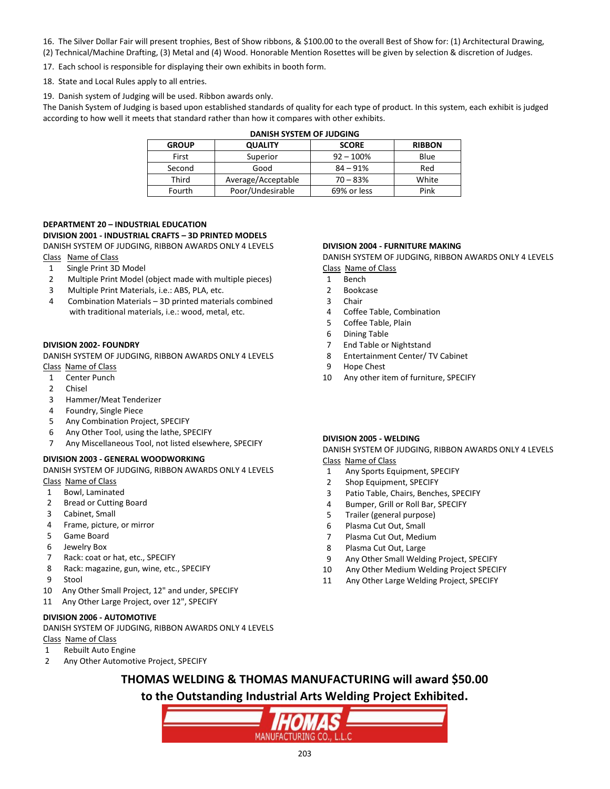- 16. The Silver Dollar Fair will present trophies, Best of Show ribbons, & \$100.00 to the overall Best of Show for: (1) Architectural Drawing,
- (2) Technical/Machine Drafting, (3) Metal and (4) Wood. Honorable Mention Rosettes will be given by selection & discretion of Judges.
- 17. Each school is responsible for displaying their own exhibits in booth form.
- 18. State and Local Rules apply to all entries.
- 19. Danish system of Judging will be used. Ribbon awards only.

The Danish System of Judging is based upon established standards of quality for each type of product. In this system, each exhibit is judged according to how well it meets that standard rather than how it compares with other exhibits.

| DANISH SYSTEM OF JUDGING |                    |              |               |
|--------------------------|--------------------|--------------|---------------|
| <b>GROUP</b>             | <b>QUALITY</b>     | <b>SCORE</b> | <b>RIBBON</b> |
| First                    | Superior           | $92 - 100%$  | Blue          |
| Second                   | Good               | $84 - 91%$   | Red           |
| Third                    | Average/Acceptable | $70 - 83%$   | White         |
| Fourth                   | Poor/Undesirable   | 69% or less  | Pink          |

### **DEPARTMENT 20 – INDUSTRIAL EDUCATION**

#### **DIVISION 2001 - INDUSTRIAL CRAFTS – 3D PRINTED MODELS**

DANISH SYSTEM OF JUDGING, RIBBON AWARDS ONLY 4 LEVELS Class Name of Class

- 1 Single Print 3D Model
- 2 Multiple Print Model (object made with multiple pieces)
- 3 Multiple Print Materials, i.e.: ABS, PLA, etc.
- 4 Combination Materials 3D printed materials combined with traditional materials, i.e.: wood, metal, etc.

#### **DIVISION 2002- FOUNDRY**

DANISH SYSTEM OF JUDGING, RIBBON AWARDS ONLY 4 LEVELS Class Name of Class

- 1 Center Punch
- 2 Chisel
- 3 Hammer/Meat Tenderizer
- 4 Foundry, Single Piece
- 
- 5 Any Combination Project, SPECIFY
- 6 Any Other Tool, using the lathe, SPECIFY
- 7 Any Miscellaneous Tool, not listed elsewhere, SPECIFY

#### **DIVISION 2003 - GENERAL WOODWORKING**

DANISH SYSTEM OF JUDGING, RIBBON AWARDS ONLY 4 LEVELS Class Name of Class

- 1 Bowl, Laminated
- 2 Bread or Cutting Board
- 3 Cabinet, Small
- 4 Frame, picture, or mirror
- 5 Game Board
- 6 Jewelry Box
- 7 Rack: coat or hat, etc., SPECIFY
- 8 Rack: magazine, gun, wine, etc., SPECIFY
- 9 Stool
- 10 Any Other Small Project, 12" and under, SPECIFY
- 11 Any Other Large Project, over 12", SPECIFY

#### **DIVISION 2006 - AUTOMOTIVE**

DANISH SYSTEM OF JUDGING, RIBBON AWARDS ONLY 4 LEVELS Class Name of Class

- 1 Rebuilt Auto Engine
- 2 Any Other Automotive Project, SPECIFY

#### **DIVISION 2004 - FURNITURE MAKING**

DANISH SYSTEM OF JUDGING, RIBBON AWARDS ONLY 4 LEVELS Class Name of Class

- 1 Bench
- 2 Bookcase
- 3 Chair
- 4 Coffee Table, Combination
- 5 Coffee Table, Plain
- 6 Dining Table
- 7 End Table or Nightstand
- 8 Entertainment Center/ TV Cabinet
- 9 Hope Chest
- 10 Any other item of furniture, SPECIFY

#### **DIVISION 2005 - WELDING**

DANISH SYSTEM OF JUDGING, RIBBON AWARDS ONLY 4 LEVELS Class Name of Class

- 1 Any Sports Equipment, SPECIFY
- 2 Shop Equipment, SPECIFY
- 3 Patio Table, Chairs, Benches, SPECIFY
- 4 Bumper, Grill or Roll Bar, SPECIFY
- 5 Trailer (general purpose)
- 6 Plasma Cut Out, Small
- 7 Plasma Cut Out, Medium
- 8 Plasma Cut Out, Large
- 9 Any Other Small Welding Project, SPECIFY
- 10 Any Other Medium Welding Project SPECIFY
- 11 Any Other Large Welding Project, SPECIFY

**THOMAS WELDING & THOMAS MANUFACTURING will award \$50.00 to the Outstanding Industrial Arts Welding Project Exhibited.**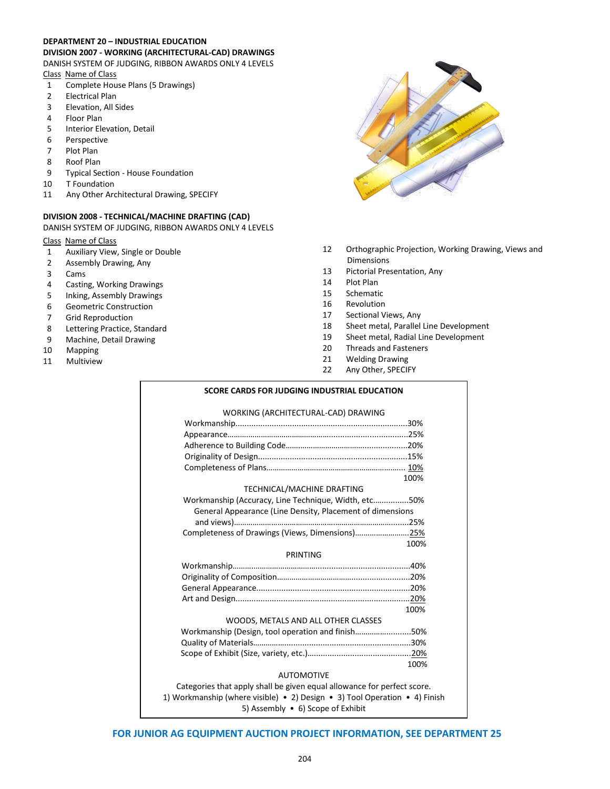#### **DEPARTMENT 20 – INDUSTRIAL EDUCATION DIVISION 2007 - WORKING (ARCHITECTURAL-CAD) DRAWINGS**

DANISH SYSTEM OF JUDGING, RIBBON AWARDS ONLY 4 LEVELS Class Name of Class

- 1 Complete House Plans (5 Drawings)
- 2 Electrical Plan
- 3 Elevation, All Sides
- 4 Floor Plan
- 5 Interior Elevation, Detail
- 6 Perspective<br>7 Plot Plan
- Plot Plan
- 8 Roof Plan
- 9 Typical Section House Foundation
- 10 T Foundation
- 11 Any Other Architectural Drawing, SPECIFY

#### **DIVISION 2008 - TECHNICAL/MACHINE DRAFTING (CAD)**

DANISH SYSTEM OF JUDGING, RIBBON AWARDS ONLY 4 LEVELS

### Class Name of Class

- 1 Auxiliary View, Single or Double
- 2 Assembly Drawing, Any
- 3 Cams<br>4 Castin
- 4 Casting, Working Drawings<br>5 Inking, Assembly Drawings
- 5 Inking, Assembly Drawings
- 6 Geometric Construction
- 7 Grid Reproduction
- 8 Lettering Practice, Standard
- 9 Machine, Detail Drawing<br>10 Mapping
- Mapping
- 11 Multiview



- 12 Orthographic Projection, Working Drawing, Views and Dimensions
- 13 Pictorial Presentation, Any
- 14 Plot Plan
- 15 Schematic
- 16 Revolution
- 17 Sectional Views, Any
- 18 Sheet metal, Parallel Line Development
- 19 Sheet metal, Radial Line Development
- 20 Threads and Fasteners
- 21 Welding Drawing
- 22 Any Other, SPECIFY

#### **SCORE CARDS FOR JUDGING INDUSTRIAL EDUCATION**

#### WORKING (ARCHITECTURAL-CAD) DRAWING

|                                                                            | 100% |
|----------------------------------------------------------------------------|------|
| TECHNICAL/MACHINE DRAFTING                                                 |      |
| Workmanship (Accuracy, Line Technique, Width, etc50%                       |      |
| General Appearance (Line Density, Placement of dimensions                  |      |
|                                                                            |      |
| Completeness of Drawings (Views, Dimensions)25%                            |      |
|                                                                            | 100% |
| PRINTING                                                                   |      |
|                                                                            |      |
|                                                                            |      |
|                                                                            |      |
|                                                                            |      |
|                                                                            | 100% |
| WOODS, METALS AND ALL OTHER CLASSES                                        |      |
| Workmanship (Design, tool operation and finish50%                          |      |
|                                                                            |      |
|                                                                            |      |
|                                                                            | 100% |
| <b>AUTOMOTIVE</b>                                                          |      |
| Categories that apply shall be given equal allowance for perfect score.    |      |
| 1) Workmanship (where visible) • 2) Design • 3) Tool Operation • 4) Finish |      |
| 5) Assembly • 6) Scope of Exhibit                                          |      |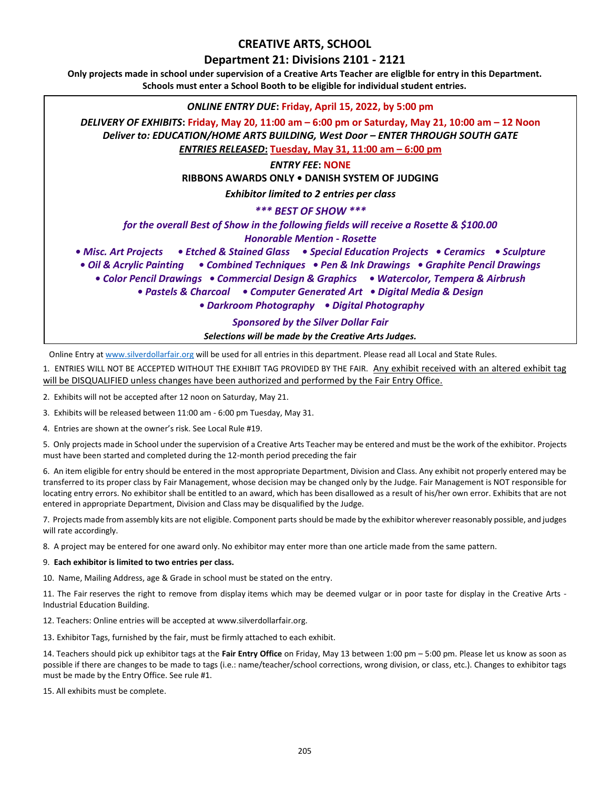# **CREATIVE ARTS, SCHOOL**

## **Department 21: Divisions 2101 - 2121**

**Only projects made in school under supervision of a Creative Arts Teacher are eliglble for entry in this Department. Schools must enter a School Booth to be eligible for individual student entries.**



Online Entry at [www.silverdollarfair.org](http://www.silverdollarfair.org/) will be used for all entries in this department. Please read all Local and State Rules.

1. ENTRIES WILL NOT BE ACCEPTED WITHOUT THE EXHIBIT TAG PROVIDED BY THE FAIR. Any exhibit received with an altered exhibit tag will be DISQUALIFIED unless changes have been authorized and performed by the Fair Entry Office.

2.Exhibits will not be accepted after 12 noon on Saturday, May 21.

3. Exhibits will be released between 11:00 am - 6:00 pm Tuesday, May 31.

4. Entries are shown at the owner's risk. See Local Rule #19.

5. Only projects made in School under the supervision of a Creative Arts Teacher may be entered and must be the work of the exhibitor. Projects must have been started and completed during the 12-month period preceding the fair

6. An item eligible for entry should be entered in the most appropriate Department, Division and Class. Any exhibit not properly entered may be transferred to its proper class by Fair Management, whose decision may be changed only by the Judge. Fair Management is NOT responsible for locating entry errors. No exhibitor shall be entitled to an award, which has been disallowed as a result of his/her own error. Exhibits that are not entered in appropriate Department, Division and Class may be disqualified by the Judge.

7. Projects made from assembly kits are not eligible. Component parts should be made by the exhibitor wherever reasonably possible, and judges will rate accordingly.

8. A project may be entered for one award only. No exhibitor may enter more than one article made from the same pattern.

#### 9. **Each exhibitor is limited to two entries per class.**

10. Name, Mailing Address, age & Grade in school must be stated on the entry.

11. The Fair reserves the right to remove from display items which may be deemed vulgar or in poor taste for display in the Creative Arts - Industrial Education Building.

12. Teachers: Online entries will be accepted at www.silverdollarfair.org.

13. Exhibitor Tags, furnished by the fair, must be firmly attached to each exhibit.

14. Teachers should pick up exhibitor tags at the **Fair Entry Office** on Friday, May 13 between 1:00 pm – 5:00 pm. Please let us know as soon as possible if there are changes to be made to tags (i.e.: name/teacher/school corrections, wrong division, or class, etc.). Changes to exhibitor tags must be made by the Entry Office. See rule #1.

15. All exhibits must be complete.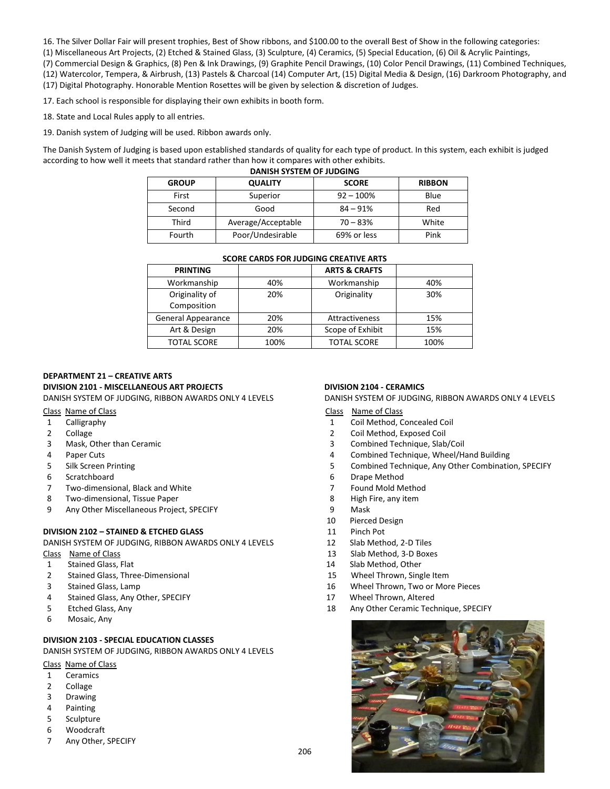16. The Silver Dollar Fair will present trophies, Best of Show ribbons, and \$100.00 to the overall Best of Show in the following categories:

(1) Miscellaneous Art Projects, (2) Etched & Stained Glass, (3) Sculpture, (4) Ceramics, (5) Special Education, (6) Oil & Acrylic Paintings,

(7) Commercial Design & Graphics, (8) Pen & Ink Drawings, (9) Graphite Pencil Drawings, (10) Color Pencil Drawings, (11) Combined Techniques, (12) Watercolor, Tempera, & Airbrush, (13) Pastels & Charcoal (14) Computer Art, (15) Digital Media & Design, (16) Darkroom Photography, and (17) Digital Photography. Honorable Mention Rosettes will be given by selection & discretion of Judges.

17. Each school is responsible for displaying their own exhibits in booth form.

18. State and Local Rules apply to all entries.

19. Danish system of Judging will be used. Ribbon awards only.

The Danish System of Judging is based upon established standards of quality for each type of product. In this system, each exhibit is judged according to how well it meets that standard rather than how it compares with other exhibits.

| <b>DANISH SYSTEM OF JUDGING</b> |                    |              |               |
|---------------------------------|--------------------|--------------|---------------|
| <b>GROUP</b>                    | <b>QUALITY</b>     | <b>SCORE</b> | <b>RIBBON</b> |
| First                           | Superior           | $92 - 100%$  | Blue          |
| Second                          | Good               | $84 - 91%$   | Red           |
| Third                           | Average/Acceptable | $70 - 83%$   | White         |
| Fourth                          | Poor/Undesirable   | 69% or less  | Pink          |

#### **SCORE CARDS FOR JUDGING CREATIVE ARTS**

| <b>PRINTING</b>               |      | <b>ARTS &amp; CRAFTS</b> |      |
|-------------------------------|------|--------------------------|------|
| Workmanship                   | 40%  | Workmanship              | 40%  |
| Originality of<br>Composition | 20%  | Originality              | 30%  |
| General Appearance            | 20%  | Attractiveness           | 15%  |
| Art & Design                  | 20%  | Scope of Exhibit         | 15%  |
| <b>TOTAL SCORE</b>            | 100% | <b>TOTAL SCORE</b>       | 100% |

# **DEPARTMENT 21 – CREATIVE ARTS DIVISION 2101 - MISCELLANEOUS ART PROJECTS DIVISION 2104 - CERAMICS**

- 
- 
- 
- 
- 
- 
- 7 Two-dimensional, Black and White 7 Found Mold Method
- 8 Two-dimensional, Tissue Paper 8 and the set of the Second Muslim State and Muslim Bandwick and Second Muslim B
- 9 Any Other Miscellaneous Project, SPECIFY 9 Mask

### **DIVISION 2102 – STAINED & ETCHED GLASS** 11 Pinch Pot

DANISH SYSTEM OF JUDGING, RIBBON AWARDS ONLY 4 LEVELS 12 Slab Method, 2-D Tiles

- 
- 
- 2 Stained Glass, Three-Dimensional 15 Wheel Thrown, Single Item
- 
- 4 Stained Glass, Any Other, SPECIFY 17 Wheel Thrown, Altered
- 
- 6 Mosaic, Any

### **DIVISION 2103 - SPECIAL EDUCATION CLASSES**

DANISH SYSTEM OF JUDGING, RIBBON AWARDS ONLY 4 LEVELS

Class Name of Class

- 1 Ceramics
- 2 Collage
- 3 Drawing
- 4 Painting
- 5 Sculpture
- 6 Woodcraft
- 7 Any Other, SPECIFY

DANISH SYSTEM OF JUDGING, RIBBON AWARDS ONLY 4 LEVELS DANISH SYSTEM OF JUDGING, RIBBON AWARDS ONLY 4 LEVELS

Class Name of Class Class Name of Class

- 1 Calligraphy 1 Coil Method, Concealed Coil
- 2 Collage 2 Coil Method, Exposed Coil
- 3 Mask, Other than Ceramic 3 Combined Technique, Slab/Coil
- 4 Paper Cuts 4 Combined Technique, Wheel/Hand Building
- 5 Silk Screen Printing 5 Combined Technique, Any Other Combination, SPECIFY
- 6 Scratchboard 6 Drape Method
	-
	-
	-
	- 10 Pierced Design
	-
	-
- Class Name of Class 13 Slab Method, 3-D Boxes
- 1 Stained Glass, Flat 14 Slab Method, Other
	-
- 3 Stained Glass, Lamp 16 Wheel Thrown, Two or More Pieces
	-
- 5 Etched Glass, Any 18 Any Other Ceramic Technique, SPECIFY

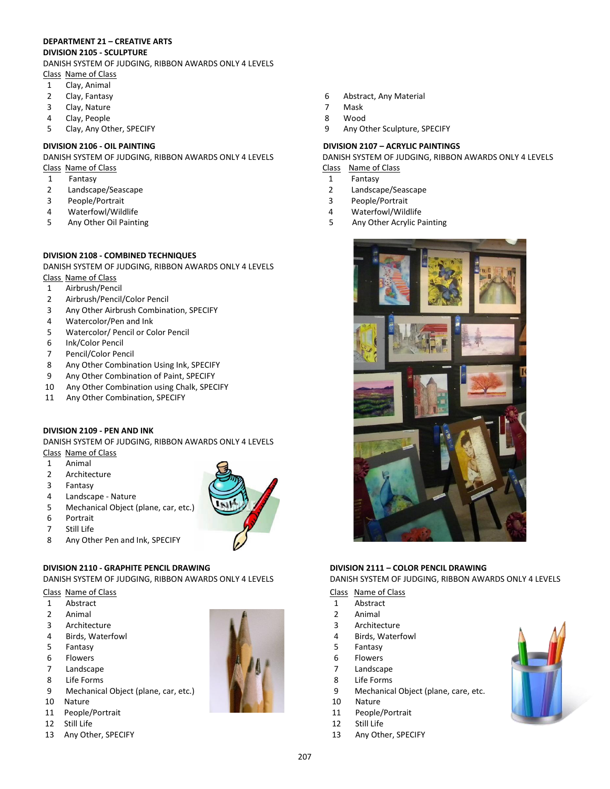#### **DEPARTMENT 21 – CREATIVE ARTS DIVISION 2105 - SCULPTURE**

DANISH SYSTEM OF JUDGING, RIBBON AWARDS ONLY 4 LEVELS Class Name of Class

- 1 Clay, Animal
- 2 Clay, Fantasy
- 3 Clay, Nature
- 4 Clay, People
- 5 Clay, Any Other, SPECIFY

- 1 Fantasy 1 Fantasy
- 2 Landscape/Seascape 2 Landscape/Seascape
- 3 People/Portrait 3 People/Portrait
- 4 Waterfowl/Wildlife 4 Waterfowl/Wildlife
- 

#### **DIVISION 2108 - COMBINED TECHNIQUES**

DANISH SYSTEM OF JUDGING, RIBBON AWARDS ONLY 4 LEVELS Class Name of Class

- 1 Airbrush/Pencil
- 2 Airbrush/Pencil/Color Pencil
- 3 Any Other Airbrush Combination, SPECIFY
- 4 Watercolor/Pen and Ink
- 5 Watercolor/ Pencil or Color Pencil
- 6 Ink/Color Pencil
- 7 Pencil/Color Pencil
- 8 Any Other Combination Using Ink, SPECIFY
- 9 Any Other Combination of Paint, SPECIFY
- 10 Any Other Combination using Chalk, SPECIFY
- 11 Any Other Combination, SPECIFY

### **DIVISION 2109 - PEN AND INK**

DANISH SYSTEM OF JUDGING, RIBBON AWARDS ONLY 4 LEVELS Class Name of Class

- 1 Animal
- 2 Architecture
- 3 Fantasy
- 4 Landscape Nature
- 5 Mechanical Object (plane, car, etc.)
- 6 Portrait
- 7 Still Life
- 8 Any Other Pen and Ink, SPECIFY

## **DIVISION 2110 - GRAPHITE PENCIL DRAWING DIVISION 2111 – COLOR PENCIL DRAWING**

DANISH SYSTEM OF JUDGING, RIBBON AWARDS ONLY 4 LEVELS DANISH SYSTEM OF JUDGING, RIBBON AWARDS ONLY 4 LEVELS

# Class Name of Class Class Name of Class Class Name of Class Name of Class Name of Class Name of Class Name of Class Name of Class Name of Class Name of Class Name of Class Name of Class Name of Class Name of Class Name of

- 1 Abstract 1 Abstract
- 2 Animal 2 Animal
- 3 Architecture 3 Architecture
- 
- 5 Fantasy 5 Fantasy
- 6 Flowers 6 Flowers 1999 1999 1999 1999 1999 1999 1999 1999 1999 1999 1999 199
- 7 Landscape 7 Landscape
- 8 Life Forms 8 Life Forms and the set of the set of the set of the set of the set of the set of the set of the set of the set of the set of the set of the set of the set of the set of the set of the set of the set of the s
- 
- 
- 
- 
- 

- 6 Abstract, Any Material
- 7 Mask
- 8 Wood
- 9 Any Other Sculpture, SPECIFY

#### **DIVISION 2106 - OIL PAINTING DIVISION 2107 – ACRYLIC PAINTINGS**

DANISH SYSTEM OF JUDGING, RIBBON AWARDS ONLY 4 LEVELS DANISH SYSTEM OF JUDGING, RIBBON AWARDS ONLY 4 LEVELS Class Name of Class Class Name of Class

- 
- 
- 
- 
- 5 Any Other Oil Painting 5 Any Other Acrylic Painting



- 
- 
- 
- 4 Birds, Waterfowl 4 Birds, Waterfowl
	-
	-
	-
	-
- 9 Mechanical Object (plane, car, etc.) 9 Mechanical Object (plane, care, etc.
- 10 Nature 10 Nature 10 Nature 10 Nature 10 Nature 10 Nature 10 Nature 10 Nature
- 11 People/Portrait 11 People/Portrait
- 12 Still Life 12 Still Life
- 13 Any Other, SPECIFY 13 Any Other, SPECIFY

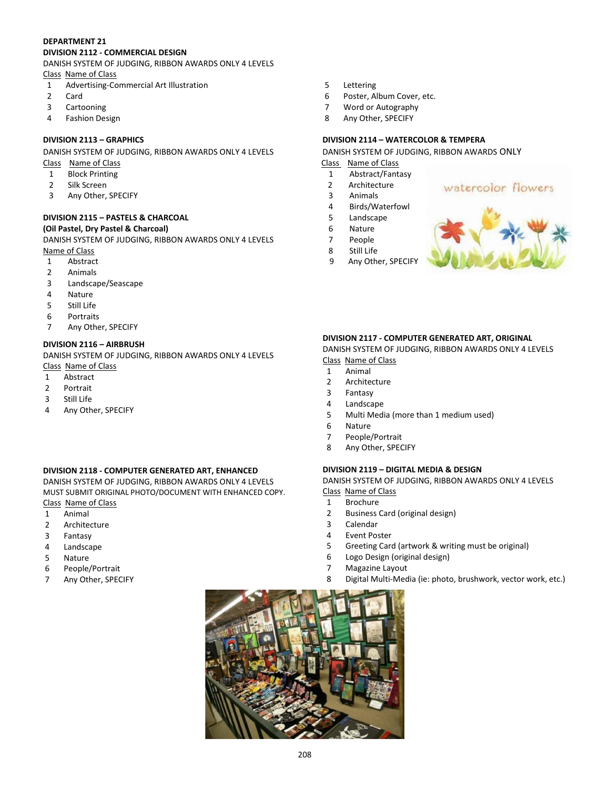#### **DEPARTMENT 21 DIVISION 2112 - COMMERCIAL DESIGN**

# DANISH SYSTEM OF JUDGING, RIBBON AWARDS ONLY 4 LEVELS

Class Name of Class

- 1 Advertising-Commercial Art Illustration
- 2 Card
- 3 Cartooning
- 4 Fashion Design

DANISH SYSTEM OF JUDGING, RIBBON AWARDS ONLY 4 LEVELS DANISH SYSTEM OF JUDGING, RIBBON AWARDS ONLY

- 
- 
- 
- 3 Any Other, SPECIFY 3 Animals

#### **DIVISION 2115 – PASTELS & CHARCOAL** 5 Landscape **(Oil Pastel, Dry Pastel & Charcoal)** 6 Nature

DANISH SYSTEM OF JUDGING, RIBBON AWARDS ONLY 4 LEVELS **7** People Name of Class 8 Still Life

- 1 Abstract 9 Any Other, SPECIFY
- 2 Animals
- 3 Landscape/Seascape
- 4 Nature
- 5 Still Life
- 6 Portraits
- 7 Any Other, SPECIFY

### **DIVISION 2116 – AIRBRUSH**

DANISH SYSTEM OF JUDGING, RIBBON AWARDS ONLY 4 LEVELS Class Name of Class

- 1 Abstract
- 2 Portrait
- 3 Still Life
- 4 Any Other, SPECIFY

### **DIVISION 2118 - COMPUTER GENERATED ART, ENHANCED**

DANISH SYSTEM OF JUDGING, RIBBON AWARDS ONLY 4 LEVELS MUST SUBMIT ORIGINAL PHOTO/DOCUMENT WITH ENHANCED COPY. Class Name of Class

- 1 Animal
- 2 Architecture
- 3 Fantasy
- 4 Landscape
- 5 Nature
- 6 People/Portrait
- 7 Any Other, SPECIFY
- 5 Lettering
- 6 Poster, Album Cover, etc.
- 7 Word or Autography
- 8 Any Other, SPECIFY

## **DIVISION 2113 – GRAPHICS DIVISION 2114 – WATERCOLOR & TEMPERA**

Class Name of Class Class Name of Class

- **1** Block Printing **1 1** Abstract/Fantasy
- 2 Silk Screen 2 Architecture 2 Architecture
	-
	- 4 Birds/Waterfowl
	-
	-
	-
	-



### **DIVISION 2117 - COMPUTER GENERATED ART, ORIGINAL**

DANISH SYSTEM OF JUDGING, RIBBON AWARDS ONLY 4 LEVELS Class Name of Class

- 1 Animal
- 2 Architecture
- 3 Fantasy
- 4 Landscape
- 5 Multi Media (more than 1 medium used)
- 6 Nature
- 7 People/Portrait
- 8 Any Other, SPECIFY

### **DIVISION 2119 – DIGITAL MEDIA & DESIGN**

DANISH SYSTEM OF JUDGING, RIBBON AWARDS ONLY 4 LEVELS Class Name of Class

- 1 Brochure
- 2 Business Card (original design)
- 3 Calendar
- 4 Event Poster
- 5 Greeting Card (artwork & writing must be original)
- 6 Logo Design (original design)
- 7 Magazine Layout
- 8 Digital Multi-Media (ie: photo, brushwork, vector work, etc.)



watercolor flowers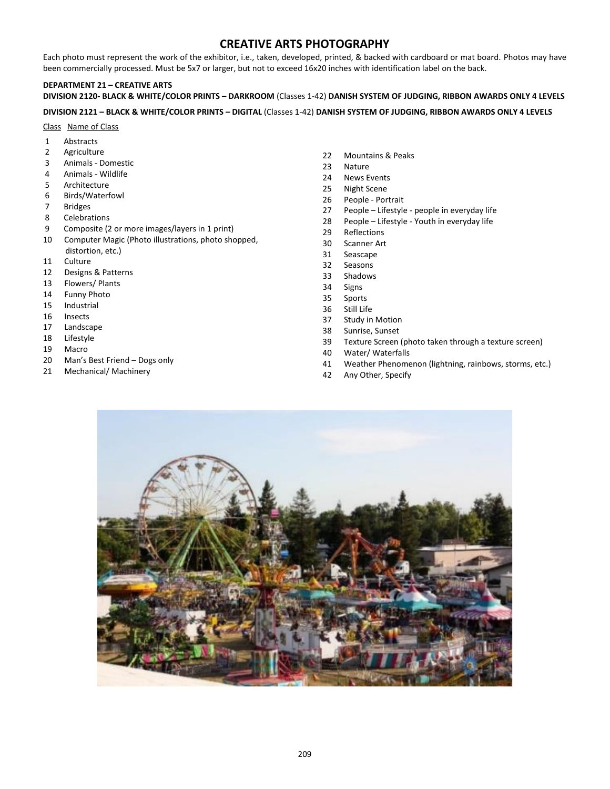# **CREATIVE ARTS PHOTOGRAPHY**

Each photo must represent the work of the exhibitor, i.e., taken, developed, printed, & backed with cardboard or mat board. Photos may have been commercially processed. Must be 5x7 or larger, but not to exceed 16x20 inches with identification label on the back.

## **DEPARTMENT 21 – CREATIVE ARTS**

**DIVISION 2120- BLACK & WHITE/COLOR PRINTS – DARKROOM** (Classes 1-42) **DANISH SYSTEM OF JUDGING, RIBBON AWARDS ONLY 4 LEVELS**

#### **DIVISION 2121 – BLACK & WHITE/COLOR PRINTS – DIGITAL** (Classes 1-42) **DANISH SYSTEM OF JUDGING, RIBBON AWARDS ONLY 4 LEVELS**

#### Class Name of Class

- 1 Abstracts
- 2 Agriculture
- 3 Animals Domestic
- 4 Animals Wildlife
- 5 Architecture
- 6 Birds/Waterfowl
- 7 Bridges
- 8 Celebrations
- 9 Composite (2 or more images/layers in 1 print)
- 10 Computer Magic (Photo illustrations, photo shopped, distortion, etc.)
- 11 Culture
- 12 Designs & Patterns
- 13 Flowers/ Plants
- 14 Funny Photo
- 15 Industrial
- 16 Insects
- 17 Landscape
- 18 Lifestyle
- 19 Macro
- 20 Man's Best Friend Dogs only
- 21 Mechanical/ Machinery
- 22 Mountains & Peaks
- 23 Nature
- 24 News Events
- 25 Night Scene
- 26 People Portrait
- 27 People Lifestyle people in everyday life
- 28 People Lifestyle Youth in everyday life
- 29 Reflections
- 30 Scanner Art
- 31 Seascape
- 32 Seasons
- 33 Shadows
- 34 Signs
- 35 Sports
- 36 Still Life
- 37 Study in Motion
- 38 Sunrise, Sunset
- 39 Texture Screen (photo taken through a texture screen)
- 40 Water/ Waterfalls
- 41 Weather Phenomenon (lightning, rainbows, storms, etc.)
- 42 Any Other, Specify

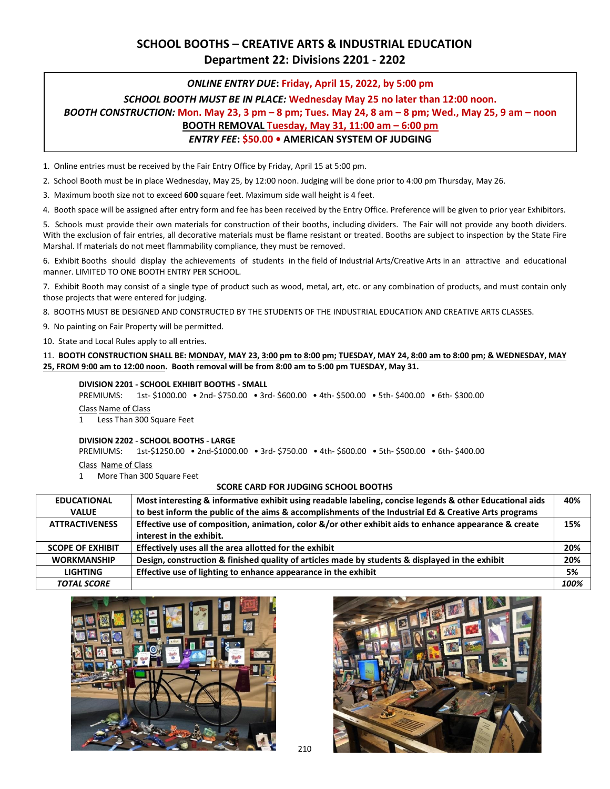# **SCHOOL BOOTHS – CREATIVE ARTS & INDUSTRIAL EDUCATION Department 22: Divisions 2201 - 2202**

### *ONLINE ENTRY DUE***: Friday, April 15, 2022, by 5:00 pm**

# *SCHOOL BOOTH MUST BE IN PLACE:* **Wednesday May 25 no later than 12:00 noon.** *BOOTH CONSTRUCTION:* **Mon. May 23, 3 pm – 8 pm; Tues. May 24, 8 am – 8 pm; Wed., May 25, 9 am – noon BOOTH REMOVAL Tuesday, May 31, 11:00 am – 6:00 pm** *ENTRY FEE***: \$50.00 • AMERICAN SYSTEM OF JUDGING**

1. Online entries must be received by the Fair Entry Office by Friday, April 15 at 5:00 pm.

2. School Booth must be in place Wednesday, May 25, by 12:00 noon. Judging will be done prior to 4:00 pm Thursday, May 26.

3. Maximum booth size not to exceed **600** square feet. Maximum side wall height is 4 feet.

4. Booth space will be assigned after entry form and fee has been received by the Entry Office. Preference will be given to prior year Exhibitors.

5. Schools must provide their own materials for construction of their booths, including dividers. The Fair will not provide any booth dividers. With the exclusion of fair entries, all decorative materials must be flame resistant or treated. Booths are subject to inspection by the State Fire Marshal. If materials do not meet flammability compliance, they must be removed.

6. Exhibit Booths should display the achievements of students in the field of Industrial Arts/Creative Arts in an attractive and educational manner. LIMITED TO ONE BOOTH ENTRY PER SCHOOL.

7. Exhibit Booth may consist of a single type of product such as wood, metal, art, etc. or any combination of products, and must contain only those projects that were entered for judging.

8. BOOTHS MUST BE DESIGNED AND CONSTRUCTED BY THE STUDENTS OF THE INDUSTRIAL EDUCATION AND CREATIVE ARTS CLASSES.

9. No painting on Fair Property will be permitted.

10. State and Local Rules apply to all entries.

11. **BOOTH CONSTRUCTION SHALL BE: MONDAY, MAY 23, 3:00 pm to 8:00 pm; TUESDAY, MAY 24, 8:00 am to 8:00 pm; & WEDNESDAY, MAY 25, FROM 9:00 am to 12:00 noon. Booth removal will be from 8:00 am to 5:00 pm TUESDAY, May 31.**

#### **DIVISION 2201 - SCHOOL EXHIBIT BOOTHS - SMALL**

PREMIUMS: 1st- \$1000.00 • 2nd- \$750.00 • 3rd- \$600.00 • 4th- \$500.00 • 5th- \$400.00 • 6th- \$300.00 Class Name of Class

1 Less Than 300 Square Feet

#### **DIVISION 2202 - SCHOOL BOOTHS - LARGE**

PREMIUMS: 1st-\$1250.00 • 2nd-\$1000.00 • 3rd- \$750.00 • 4th- \$600.00 • 5th- \$500.00 • 6th- \$400.00 Class Name of Class

1 More Than 300 Square Feet

#### **SCORE CARD FOR JUDGING SCHOOL BOOTHS**

| <b>EDUCATIONAL</b>      | Most interesting & informative exhibit using readable labeling, concise legends & other Educational aids | 40%  |
|-------------------------|----------------------------------------------------------------------------------------------------------|------|
| <b>VALUE</b>            | to best inform the public of the aims & accomplishments of the Industrial Ed & Creative Arts programs    |      |
| <b>ATTRACTIVENESS</b>   | Effective use of composition, animation, color &/or other exhibit aids to enhance appearance & create    | 15%  |
|                         | interest in the exhibit.                                                                                 |      |
| <b>SCOPE OF EXHIBIT</b> | Effectively uses all the area allotted for the exhibit                                                   | 20%  |
| <b>WORKMANSHIP</b>      | Design, construction & finished quality of articles made by students & displayed in the exhibit          | 20%  |
| <b>LIGHTING</b>         | Effective use of lighting to enhance appearance in the exhibit                                           | 5%   |
| <b>TOTAL SCORE</b>      |                                                                                                          | 100% |





210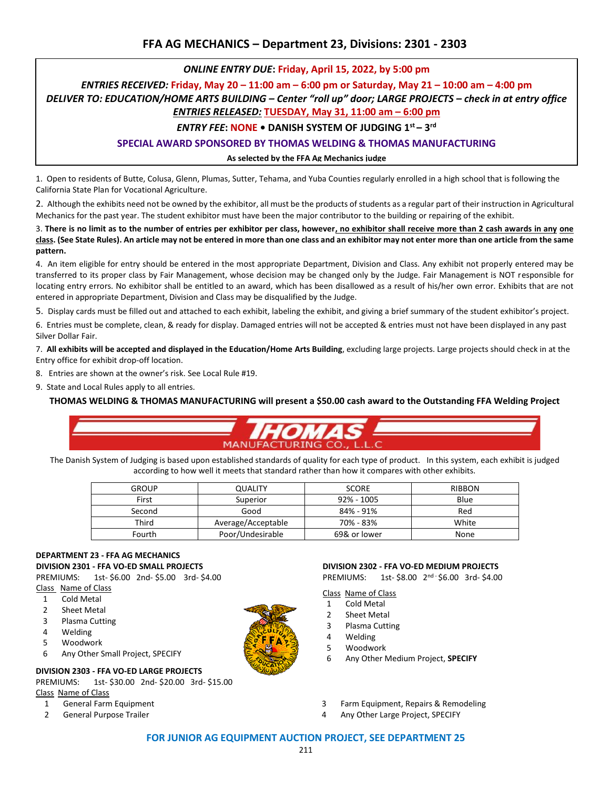# *ONLINE ENTRY DUE***: Friday, April 15, 2022, by 5:00 pm**

*ENTRIES RECEIVED:* **Friday, May 20 – 11:00 am – 6:00 pm or Saturday, May 21 – 10:00 am – 4:00 pm**

*DELIVER TO: EDUCATION/HOME ARTS BUILDING – Center "roll up" door; LARGE PROJECTS – check in at entry office* 

# *ENTRIES RELEASED:* **TUESDAY, May 31, 11:00 am – 6:00 pm**

# *ENTRY FEE***: NONE • DANISH SYSTEM OF JUDGING 1st – 3 rd**

# **SPECIAL AWARD SPONSORED BY THOMAS WELDING & THOMAS MANUFACTURING**

#### **As selected by the FFA Ag Mechanics judge**

1. Open to residents of Butte, Colusa, Glenn, Plumas, Sutter, Tehama, and Yuba Counties regularly enrolled in a high school that is following the California State Plan for Vocational Agriculture.

2. Although the exhibits need not be owned by the exhibitor, all must be the products of students as a regular part of their instruction in Agricultural Mechanics for the past year. The student exhibitor must have been the major contributor to the building or repairing of the exhibit.

3. **There is no limit as to the number of entries per exhibitor per class, however, no exhibitor shall receive more than 2 cash awards in any one class. (See State Rules). An article may not be entered in more than one class and an exhibitor may not enter more than one article from the same pattern.**

4. An item eligible for entry should be entered in the most appropriate Department, Division and Class. Any exhibit not properly entered may be transferred to its proper class by Fair Management, whose decision may be changed only by the Judge. Fair Management is NOT responsible for locating entry errors. No exhibitor shall be entitled to an award, which has been disallowed as a result of his/her own error. Exhibits that are not entered in appropriate Department, Division and Class may be disqualified by the Judge.

5. Display cards must be filled out and attached to each exhibit, labeling the exhibit, and giving a brief summary of the student exhibitor's project.

6. Entries must be complete, clean, & ready for display. Damaged entries will not be accepted & entries must not have been displayed in any past Silver Dollar Fair.

7. **All exhibits will be accepted and displayed in the Education/Home Arts Building**, excluding large projects. Large projects should check in at the Entry office for exhibit drop-off location.

8. Entries are shown at the owner's risk. See Local Rule #19.

9. State and Local Rules apply to all entries.

**THOMAS WELDING & THOMAS MANUFACTURING will present a \$50.00 cash award to the Outstanding FFA Welding Project** 



The Danish System of Judging is based upon established standards of quality for each type of product. In this system, each exhibit is judged according to how well it meets that standard rather than how it compares with other exhibits.

| <b>GROUP</b> | <b>QUALITY</b>     | <b>SCORE</b> | <b>RIBBON</b> |
|--------------|--------------------|--------------|---------------|
| First        | Superior           | 92% - 1005   | Blue          |
| Second       | Good               | 84% - 91%    | Red           |
| Third        | Average/Acceptable | 70% - 83%    | White         |
| Fourth       | Poor/Undesirable   | 69& or lower | None          |

#### **DEPARTMENT 23 - FFA AG MECHANICS DIVISION 2301 - FFA VO-ED SMALL PROJECTS**

PREMIUMS: 1st- \$6.00 2nd- \$5.00 3rd- \$4.00 Class Name of Class

- 1 Cold Metal
- 2 Sheet Metal
- 3 Plasma Cutting
- 4 Welding
- 5 Woodwork
- 6 Any Other Small Project, SPECIFY

### **DIVISION 2303 - FFA VO-ED LARGE PROJECTS**

PREMIUMS: 1st- \$30.00 2nd- \$20.00 3rd- \$15.00 Class Name of Class

- 
- 
- 1 General Farm Equipment 3 Farm Equipment, Repairs & Remodeling

6 Any Other Medium Project, **SPECIFY**

**DIVISION 2302 - FFA VO-ED MEDIUM PROJECTS** PREMIUMS: 1st- \$8.00 2nd - \$6.00 3rd- \$4.00

2 General Purpose Trailer 1 Any Other Large Project, SPECIFY

Class Name of Class 1 Cold Metal 2 Sheet Metal 3 Plasma Cutting 4 Welding 5 Woodwork

#### **FOR JUNIOR AG EQUIPMENT AUCTION PROJECT, SEE DEPARTMENT 25**